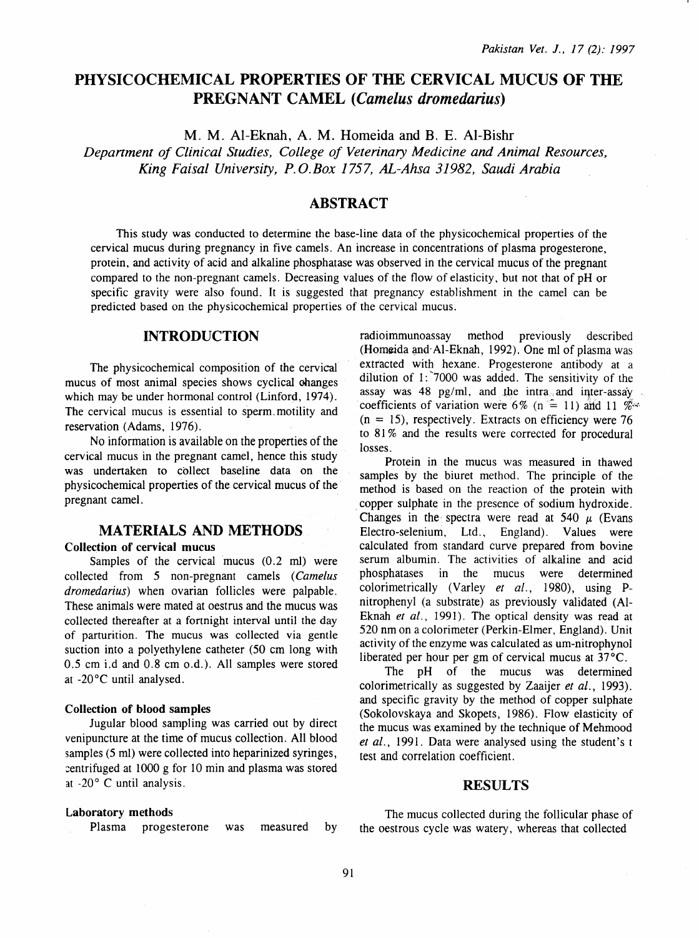# PHYSICOCHEMICAL PROPERTIES OF THE CERVICAL MUCUS OF THE PREGNANT CAMEL (Camelus dromedarius)

M. M. Al-Eknah, A. M. Homeida and B. E. Al-Bishr

*Depanment of Clinical Studies, College of Veterinary Medicine and Animal Resources, King Faisal University, P. O.Box 1757, AL-Ahsa 31982, Saudi Arabia* 

# ABSTRACT

This study was conducted to determine the base-line data of the physicochemical properties of the cervical mucus during pregnancy in five camels. An increase in concentrations of plasma progesterone, protein, and activity of acid and alkaline phosphatase was observed in the cervical mucus of the pregnant compared to the non-pregnant camels. Decreasing values of the flow of elasticity, but not that of pH or specific gravity were also found. It is suggested that pregnancy establishment in the camel can be predicted based on the physicochemical properties of the cervical mucus.

# INTRODUCTION

The physicochemical composition of the cervical mucus of most animal species shows cyclical changes which may be under hormonal control (Linford, 1974). The cervical mucus is essential to sperm\_ motility and reservation (Adams, 1976).

No information is available on the properties of the cervical mucus in the pregnant camel, hence this study was undertaken to collect baseline data on the physicochemical properties of the cervical mucus of the pregnant camel.

# MATERIALS AND METHODS

#### Collection of cervical mucus

Samples of the cervical mucus (0.2 ml) were collected from 5 non-pregnant camels *(Camelus dromedarius)* when ovarian follicles were palpable. These animals were mated at oestrus and the mucus was collected thereafter at a fortnight interval until the day of parturition. The mucus was collected via gentle suction into a polyethylene catheter (50 em long with 0.5 em i.d and 0.8 em o.d.). All samples were stored at -20°C until analysed.

#### Collection of blood samples

Jugular blood sampling was carried out by direct venipuncture at the time of mucus collection. All blood samples (5 ml) were collected into heparinized syringes,  $centrifuged$  at 1000 g for 10 min and plasma was stored at -20° C until analysis.

#### Laboratory methods

Plasma progesterone was measured by

radioimmunoassay method previously described (Homeida and Al-Eknah, 1992). One ml of plasma was extracted with hexane. Progesterone antibody at a dilution of I: "7000 was added. The sensitivity of the assay was  $48$  pg/ml, and the intra and inter-assay coefficients of variation were 6% (n  $=$  11) and 11 %.  $(n = 15)$ , respectively. Extracts on efficiency were 76 to 81 % and the results were corrected for procedural losses.

Protein in the mucus was measured in thawed samples by the biuret method. The principle of the method is based on the reaction of the protein with . copper sulphate in the presence of sodium hydroxide. Changes in the spectra were read at 540  $\mu$  (Evans Electro-selenium, Ltd., England). Values were calculated from standard curve prepared from bovine serum albumin. The activities of alkaline and acid phosphatases in the mucus were determined colorimetrically (Varley *et al.,* 1980), using Pnitrophenyl (a substrate) as previously validated (Al-Eknah *et al.*, 1991). The optical density was read at 520 nm on a colorimeter (Perkin-Elmer, England). Unit activity of the enzyme was calculated as um-nitrophynol liberated per hour per gm of cervical mucus at 37°C.

The pH of the mucus was determined colorimetrically as suggested by Zaaijer *et al.,* 1993). and specific gravity by the method of copper sulphate (Sokolovskaya and Skopets, 1986). Flow elasticity of the mucus was examined by the technique of Mehmood *et al.,* 1991. Data were analysed using the student's t test and correlation coefficient.

#### RESULTS

The mucus collected during the follicular phase of the oestrous cycle was watery, whereas that collected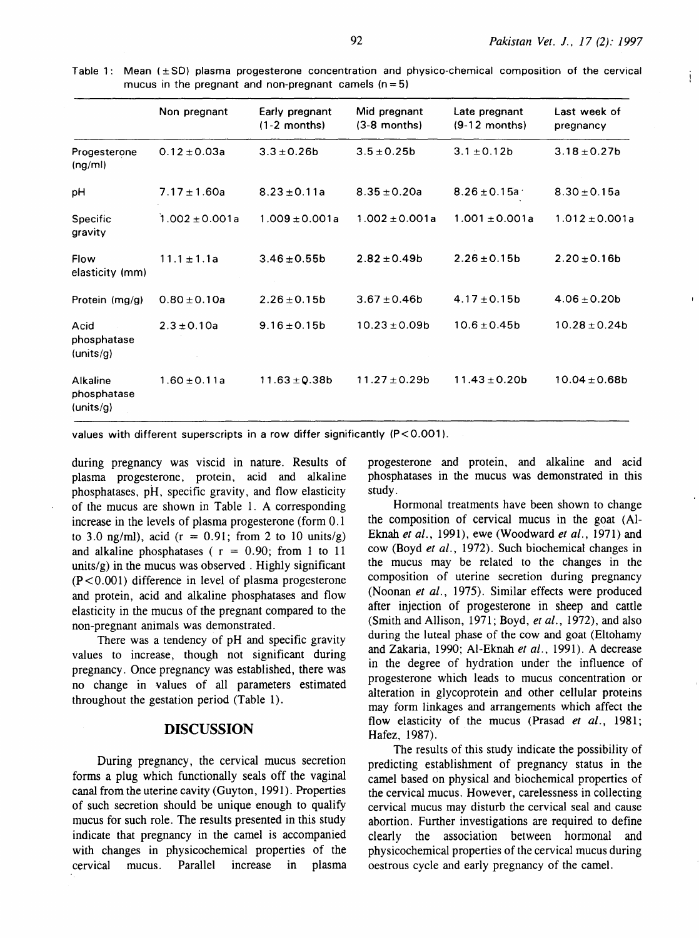j

|                                      | Non pregnant        | Early pregnant<br>$(1-2$ months) | Mid pregnant<br>$(3-8$ months) | Late pregnant<br>$(9-12$ months) | Last week of<br>pregnancy |
|--------------------------------------|---------------------|----------------------------------|--------------------------------|----------------------------------|---------------------------|
| Progesterone<br>(ng/ml)              | $0.12 \pm 0.03a$    | $3.3 \pm 0.26$ b                 | $3.5 \pm 0.25$ b               | $3.1 \pm 0.12b$                  | $3.18 \pm 0.27$ b         |
| рH                                   | $7.17 \pm 1.60a$    | $8.23 \pm 0.11a$                 | $8.35 \pm 0.20a$               | $8.26 \pm 0.15a$                 | $8.30 \pm 0.15a$          |
| <b>Specific</b><br>gravity           | $1.002 \pm 0.001$ a | $1.009 \pm 0.001a$               | $1.002 \pm 0.001a$             | $1.001 + 0.001a$                 | $1.012 \pm 0.001a$        |
| Flow<br>elasticity (mm)              | $11.1 \pm 1.1a$     | $3.46 \pm 0.55$ b                | $2.82 \pm 0.49$ b              | $2.26 \pm 0.15$ b                | $2.20 \pm 0.16$ b         |
| Protein (mg/g)                       | $0.80 \pm 0.10a$    | $2.26 \pm 0.15b$                 | $3.67 \pm 0.46$                | $4.17 \pm 0.15$ b                | $4.06 \pm 0.20$           |
| Acid<br>phosphatase<br>(units/g)     | $2.3 \pm 0.10a$     | $9.16 \pm 0.15$ b                | $10.23 \pm 0.09b$              | $10.6 \pm 0.45$ b                | $10.28 \pm 0.24$ b        |
| Alkaline<br>phosphatase<br>(units/q) | $1.60 \pm 0.11a$    | $11.63 \pm 0.38b$                | $11.27 \pm 0.29b$              | $11.43 \pm 0.20b$                | $10.04 \pm 0.68$ b        |

Table 1: Mean (±SO) plasma progesterone concentration and physico-chemical composition of the cervical mucus in the pregnant and non-pregnant camels  $(n = 5)$ 

values with different superscripts in a row differ significantly (P<0.001).

during pregnancy was viscid in nature. Results of plasma progesterone, protein, acid and alkaline phosphatases, pH, specific gravity, and flow elasticity of the mucus are shown in Table 1. A corresponding increase in the levels of plasma progesterone (form 0.1 to 3.0 ng/ml), acid ( $r = 0.91$ ; from 2 to 10 units/g) and alkaline phosphatases ( $r = 0.90$ ; from 1 to 11 units/ $g$ ) in the mucus was observed. Highly significant (P < 0. 001) difference in level of plasma progesterone and protein, acid and alkaline phosphatases and flow elasticity in the mucus of the pregnant compared to the non-pregnant animals was demonstrated.

There was a tendency of pH and specific gravity values to increase, though not significant during pregnancy. Once pregnancy was established, there was no change in values of all parameters estimated throughout the gestation period (Table 1).

## **DISCUSSION**

During pregnancy, the cervical mucus secretion forms a plug which functionally seals off the vaginal canal from the uterine cavity (Guyton, 1991). Properties of such secretion should be unique enough to qualify mucus for such role. The results presented in this study indicate that pregnancy in the camel is accompanied with changes in physicochemical properties of the cervical mucus. Parallel increase in plasma progesterone and protein, and alkaline and acid phosphatases in the mucus was demonstrated in this study.

Hormonal treatments have been shown to change the composition of cervical mucus in the goat (Al-Eknah *et al.,* 1991), ewe (Woodward *et al.,* 1971) and cow (Boyd *et al.,* 1972). Such biochemical changes in the mucus may be related to the changes in the composition of uterine secretion during pregnancy (Noonan *et al.,* 1975). Similar effects were produced after injection of progesterone in sheep and cattle (Smith and Allison, 1971; Boyd, *et al.,* 1972), and also during the luteal phase of the cow and goat (Eltohamy and Zakaria, 1990; AI-Eknah *et al.* , 1991). A decrease in the degree of hydration under the influence of progesterone which leads to mucus concentration or alteration in glycoprotein and other cellular proteins may form linkages and arrangements which affect the flow elasticity of the mucus (Prasad *et al.,* 1981; Hafez, 1987).

The results of this study indicate the possibility of predicting establishment of pregnancy status in the camel based on physical and biochemical properties of the cervical mucus. However, carelessness in collecting cervical mucus may disturb the cervical seal and cause abortion. Further investigations are required to define clearly the association between hormonal and physicochemical properties of the cervical mucus during oestrous cycle and early pregnancy of the camel.